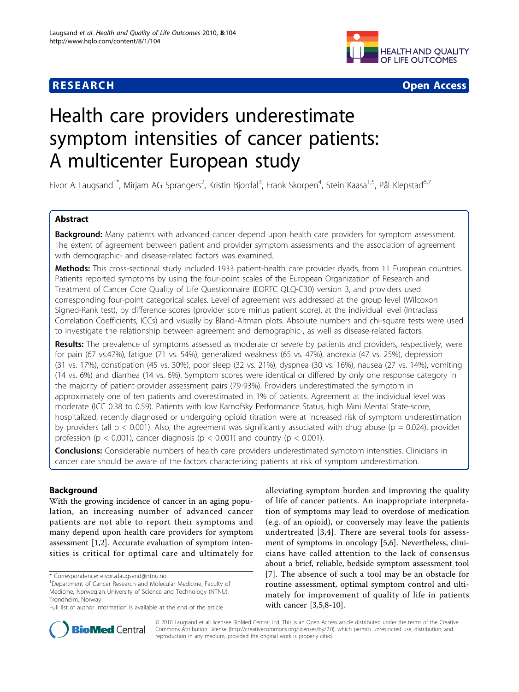

**RESEARCH CONSTRUCTION CONTROL** 

# Health care providers underestimate symptom intensities of cancer patients: A multicenter European study

Eivor A Laugsand<sup>1\*</sup>, Mirjam AG Sprangers<sup>2</sup>, Kristin Bjordal<sup>3</sup>, Frank Skorpen<sup>4</sup>, Stein Kaasa<sup>1,5</sup>, Pål Klepstad<sup>6,7</sup>

# Abstract

Background: Many patients with advanced cancer depend upon health care providers for symptom assessment. The extent of agreement between patient and provider symptom assessments and the association of agreement with demographic- and disease-related factors was examined.

Methods: This cross-sectional study included 1933 patient-health care provider dyads, from 11 European countries. Patients reported symptoms by using the four-point scales of the European Organization of Research and Treatment of Cancer Core Quality of Life Questionnaire (EORTC QLQ-C30) version 3, and providers used corresponding four-point categorical scales. Level of agreement was addressed at the group level (Wilcoxon Signed-Rank test), by difference scores (provider score minus patient score), at the individual level (Intraclass Correlation Coefficients, ICCs) and visually by Bland-Altman plots. Absolute numbers and chi-square tests were used to investigate the relationship between agreement and demographic-, as well as disease-related factors.

Results: The prevalence of symptoms assessed as moderate or severe by patients and providers, respectively, were for pain (67 vs.47%), fatigue (71 vs. 54%), generalized weakness (65 vs. 47%), anorexia (47 vs. 25%), depression (31 vs. 17%), constipation (45 vs. 30%), poor sleep (32 vs. 21%), dyspnea (30 vs. 16%), nausea (27 vs. 14%), vomiting (14 vs. 6%) and diarrhea (14 vs. 6%). Symptom scores were identical or differed by only one response category in the majority of patient-provider assessment pairs (79-93%). Providers underestimated the symptom in approximately one of ten patients and overestimated in 1% of patients. Agreement at the individual level was moderate (ICC 0.38 to 0.59). Patients with low Karnofsky Performance Status, high Mini Mental State-score, hospitalized, recently diagnosed or undergoing opioid titration were at increased risk of symptom underestimation by providers (all  $p < 0.001$ ). Also, the agreement was significantly associated with drug abuse ( $p = 0.024$ ), provider profession ( $p < 0.001$ ), cancer diagnosis ( $p < 0.001$ ) and country ( $p < 0.001$ ).

**Conclusions:** Considerable numbers of health care providers underestimated symptom intensities. Clinicians in cancer care should be aware of the factors characterizing patients at risk of symptom underestimation.

# Background

With the growing incidence of cancer in an aging population, an increasing number of advanced cancer patients are not able to report their symptoms and many depend upon health care providers for symptom assessment [\[1,2](#page-11-0)]. Accurate evaluation of symptom intensities is critical for optimal care and ultimately for

\* Correspondence: [eivor.a.laugsand@ntnu.no](mailto:eivor.a.laugsand@ntnu.no)

alleviating symptom burden and improving the quality of life of cancer patients. An inappropriate interpretation of symptoms may lead to overdose of medication (e.g. of an opioid), or conversely may leave the patients undertreated [\[3,4](#page-11-0)]. There are several tools for assessment of symptoms in oncology [[5,6\]](#page-11-0). Nevertheless, clinicians have called attention to the lack of consensus about a brief, reliable, bedside symptom assessment tool [[7](#page-11-0)]. The absence of such a tool may be an obstacle for routine assessment, optimal symptom control and ultimately for improvement of quality of life in patients with cancer [[3,5,8-10\]](#page-11-0).



© 2010 Laugsand et al; licensee BioMed Central Ltd. This is an Open Access article distributed under the terms of the Creative Commons Attribution License [\(http://creativecommons.org/licenses/by/2.0](http://creativecommons.org/licenses/by/2.0)), which permits unrestricted use, distribution, and reproduction in any medium, provided the original work is properly cited.

<sup>&</sup>lt;sup>1</sup>Department of Cancer Research and Molecular Medicine, Faculty of Medicine, Norwegian University of Science and Technology (NTNU), Trondheim, Norway

Full list of author information is available at the end of the article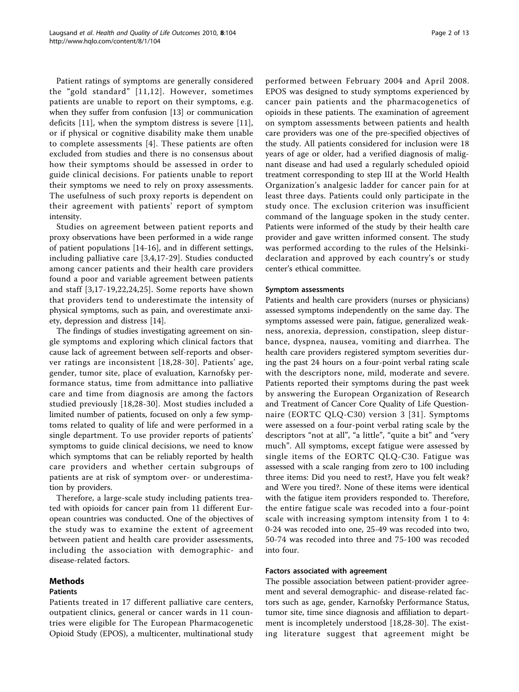Patient ratings of symptoms are generally considered the "gold standard" [[11,12\]](#page-11-0). However, sometimes patients are unable to report on their symptoms, e.g. when they suffer from confusion [\[13\]](#page-11-0) or communication deficits [\[11\]](#page-11-0), when the symptom distress is severe [[11](#page-11-0)], or if physical or cognitive disability make them unable to complete assessments [\[4\]](#page-11-0). These patients are often excluded from studies and there is no consensus about how their symptoms should be assessed in order to guide clinical decisions. For patients unable to report their symptoms we need to rely on proxy assessments. The usefulness of such proxy reports is dependent on their agreement with patients' report of symptom intensity.

Studies on agreement between patient reports and proxy observations have been performed in a wide range of patient populations [[14-16](#page-11-0)], and in different settings, including palliative care [[3,4,17-](#page-11-0)[29\]](#page-12-0). Studies conducted among cancer patients and their health care providers found a poor and variable agreement between patients and staff [[3,17-19](#page-11-0),[22,24,25](#page-12-0)]. Some reports have shown that providers tend to underestimate the intensity of physical symptoms, such as pain, and overestimate anxiety, depression and distress [\[14](#page-11-0)].

The findings of studies investigating agreement on single symptoms and exploring which clinical factors that cause lack of agreement between self-reports and observer ratings are inconsistent [[18,](#page-11-0)[28-30](#page-12-0)]. Patients' age, gender, tumor site, place of evaluation, Karnofsky performance status, time from admittance into palliative care and time from diagnosis are among the factors studied previously [[18,](#page-11-0)[28](#page-12-0)-[30](#page-12-0)]. Most studies included a limited number of patients, focused on only a few symptoms related to quality of life and were performed in a single department. To use provider reports of patients' symptoms to guide clinical decisions, we need to know which symptoms that can be reliably reported by health care providers and whether certain subgroups of patients are at risk of symptom over- or underestimation by providers.

Therefore, a large-scale study including patients treated with opioids for cancer pain from 11 different European countries was conducted. One of the objectives of the study was to examine the extent of agreement between patient and health care provider assessments, including the association with demographic- and disease-related factors.

#### Methods

# Patients

Patients treated in 17 different palliative care centers, outpatient clinics, general or cancer wards in 11 countries were eligible for The European Pharmacogenetic Opioid Study (EPOS), a multicenter, multinational study

performed between February 2004 and April 2008. EPOS was designed to study symptoms experienced by cancer pain patients and the pharmacogenetics of opioids in these patients. The examination of agreement on symptom assessments between patients and health care providers was one of the pre-specified objectives of the study. All patients considered for inclusion were 18 years of age or older, had a verified diagnosis of malignant disease and had used a regularly scheduled opioid treatment corresponding to step III at the World Health Organization's analgesic ladder for cancer pain for at least three days. Patients could only participate in the study once. The exclusion criterion was insufficient command of the language spoken in the study center. Patients were informed of the study by their health care provider and gave written informed consent. The study was performed according to the rules of the Helsinkideclaration and approved by each country's or study center's ethical committee.

## Symptom assessments

Patients and health care providers (nurses or physicians) assessed symptoms independently on the same day. The symptoms assessed were pain, fatigue, generalized weakness, anorexia, depression, constipation, sleep disturbance, dyspnea, nausea, vomiting and diarrhea. The health care providers registered symptom severities during the past 24 hours on a four-point verbal rating scale with the descriptors none, mild, moderate and severe. Patients reported their symptoms during the past week by answering the European Organization of Research and Treatment of Cancer Core Quality of Life Questionnaire (EORTC QLQ-C30) version 3 [[31\]](#page-12-0). Symptoms were assessed on a four-point verbal rating scale by the descriptors "not at all", "a little", "quite a bit" and "very much". All symptoms, except fatigue were assessed by single items of the EORTC QLQ-C30. Fatigue was assessed with a scale ranging from zero to 100 including three items: Did you need to rest?, Have you felt weak? and Were you tired?. None of these items were identical with the fatigue item providers responded to. Therefore, the entire fatigue scale was recoded into a four-point scale with increasing symptom intensity from 1 to 4: 0-24 was recoded into one, 25-49 was recoded into two, 50-74 was recoded into three and 75-100 was recoded into four.

#### Factors associated with agreement

The possible association between patient-provider agreement and several demographic- and disease-related factors such as age, gender, Karnofsky Performance Status, tumor site, time since diagnosis and affiliation to department is incompletely understood [[18,](#page-11-0)[28](#page-12-0)-[30\]](#page-12-0). The existing literature suggest that agreement might be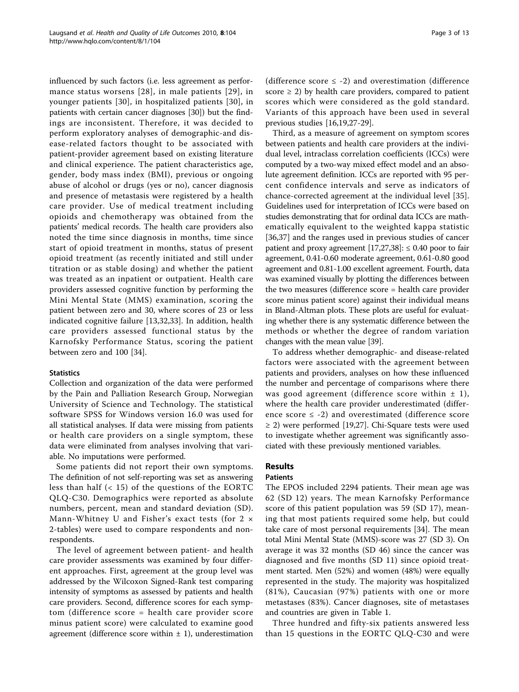influenced by such factors (i.e. less agreement as performance status worsens [[28](#page-12-0)], in male patients [[29](#page-12-0)], in younger patients [[30\]](#page-12-0), in hospitalized patients [[30](#page-12-0)], in patients with certain cancer diagnoses [\[30\]](#page-12-0)) but the findings are inconsistent. Therefore, it was decided to perform exploratory analyses of demographic-and disease-related factors thought to be associated with patient-provider agreement based on existing literature and clinical experience. The patient characteristics age, gender, body mass index (BMI), previous or ongoing abuse of alcohol or drugs (yes or no), cancer diagnosis and presence of metastasis were registered by a health care provider. Use of medical treatment including opioids and chemotherapy was obtained from the patients' medical records. The health care providers also noted the time since diagnosis in months, time since start of opioid treatment in months, status of present opioid treatment (as recently initiated and still under titration or as stable dosing) and whether the patient was treated as an inpatient or outpatient. Health care providers assessed cognitive function by performing the Mini Mental State (MMS) examination, scoring the patient between zero and 30, where scores of 23 or less indicated cognitive failure [[13,](#page-11-0)[32,33\]](#page-12-0). In addition, health care providers assessed functional status by the Karnofsky Performance Status, scoring the patient between zero and 100 [\[34](#page-12-0)].

#### **Statistics**

Collection and organization of the data were performed by the Pain and Palliation Research Group, Norwegian University of Science and Technology. The statistical software SPSS for Windows version 16.0 was used for all statistical analyses. If data were missing from patients or health care providers on a single symptom, these data were eliminated from analyses involving that variable. No imputations were performed.

Some patients did not report their own symptoms. The definition of not self-reporting was set as answering less than half  $\left($  < 15) of the questions of the EORTC QLQ-C30. Demographics were reported as absolute numbers, percent, mean and standard deviation (SD). Mann-Whitney U and Fisher's exact tests (for 2 × 2-tables) were used to compare respondents and nonrespondents.

The level of agreement between patient- and health care provider assessments was examined by four different approaches. First, agreement at the group level was addressed by the Wilcoxon Signed-Rank test comparing intensity of symptoms as assessed by patients and health care providers. Second, difference scores for each symptom (difference score = health care provider score minus patient score) were calculated to examine good agreement (difference score within  $\pm$  1), underestimation

(difference score  $\leq$  -2) and overestimation (difference score  $\geq$  2) by health care providers, compared to patient scores which were considered as the gold standard. Variants of this approach have been used in several previous studies [[16,19](#page-11-0),[27](#page-12-0)-[29\]](#page-12-0).

Third, as a measure of agreement on symptom scores between patients and health care providers at the individual level, intraclass correlation coefficients (ICCs) were computed by a two-way mixed effect model and an absolute agreement definition. ICCs are reported with 95 percent confidence intervals and serve as indicators of chance-corrected agreement at the individual level [[35](#page-12-0)]. Guidelines used for interpretation of ICCs were based on studies demonstrating that for ordinal data ICCs are mathematically equivalent to the weighted kappa statistic [[36,37\]](#page-12-0) and the ranges used in previous studies of cancer patient and proxy agreement  $[17,27,38]$  $[17,27,38]$  $[17,27,38]$ :  $\leq 0.40$  poor to fair agreement, 0.41-0.60 moderate agreement, 0.61-0.80 good agreement and 0.81-1.00 excellent agreement. Fourth, data was examined visually by plotting the differences between the two measures (difference score = health care provider score minus patient score) against their individual means in Bland-Altman plots. These plots are useful for evaluating whether there is any systematic difference between the methods or whether the degree of random variation changes with the mean value [\[39](#page-12-0)].

To address whether demographic- and disease-related factors were associated with the agreement between patients and providers, analyses on how these influenced the number and percentage of comparisons where there was good agreement (difference score within  $\pm$  1), where the health care provider underestimated (difference score  $\leq$  -2) and overestimated (difference score  $\geq$  2) were performed [\[19](#page-11-0)[,27\]](#page-12-0). Chi-Square tests were used to investigate whether agreement was significantly associated with these previously mentioned variables.

# Results

# Patients

The EPOS included 2294 patients. Their mean age was 62 (SD 12) years. The mean Karnofsky Performance score of this patient population was 59 (SD 17), meaning that most patients required some help, but could take care of most personal requirements [\[34](#page-12-0)]. The mean total Mini Mental State (MMS)-score was 27 (SD 3). On average it was 32 months (SD 46) since the cancer was diagnosed and five months (SD 11) since opioid treatment started. Men (52%) and women (48%) were equally represented in the study. The majority was hospitalized (81%), Caucasian (97%) patients with one or more metastases (83%). Cancer diagnoses, site of metastases and countries are given in Table [1](#page-3-0).

Three hundred and fifty-six patients answered less than 15 questions in the EORTC QLQ-C30 and were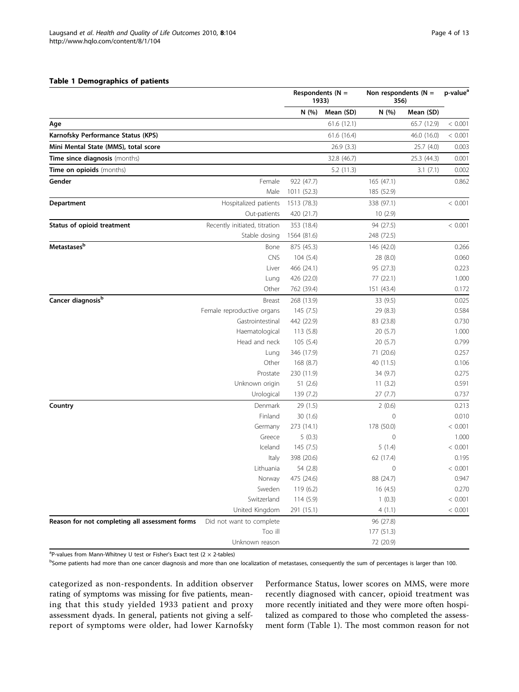### <span id="page-3-0"></span>Table 1 Demographics of patients

|                                                                                      |                                                                                                                                                                                                                                                                                                                                                                                                                                                                                              | Respondents $(N =$<br>1933) |             | Non respondents ( $N =$<br>356) |                                                                                                                                                                                                                                                                             | p-value <sup>a</sup> |
|--------------------------------------------------------------------------------------|----------------------------------------------------------------------------------------------------------------------------------------------------------------------------------------------------------------------------------------------------------------------------------------------------------------------------------------------------------------------------------------------------------------------------------------------------------------------------------------------|-----------------------------|-------------|---------------------------------|-----------------------------------------------------------------------------------------------------------------------------------------------------------------------------------------------------------------------------------------------------------------------------|----------------------|
|                                                                                      |                                                                                                                                                                                                                                                                                                                                                                                                                                                                                              | N(%)                        | Mean (SD)   | N (%)                           | Mean (SD)                                                                                                                                                                                                                                                                   |                      |
| Age                                                                                  |                                                                                                                                                                                                                                                                                                                                                                                                                                                                                              |                             | 61.6 (12.1) |                                 | 65.7 (12.9)                                                                                                                                                                                                                                                                 | < 0.001              |
| Karnofsky Performance Status (KPS)                                                   |                                                                                                                                                                                                                                                                                                                                                                                                                                                                                              |                             | 61.6 (16.4) |                                 | 46.0 (16.0)                                                                                                                                                                                                                                                                 | < 0.001              |
| Mini Mental State (MMS), total score                                                 |                                                                                                                                                                                                                                                                                                                                                                                                                                                                                              |                             | 26.9(3.3)   |                                 | 25.7 (4.0)                                                                                                                                                                                                                                                                  |                      |
| Time since diagnosis (months)                                                        |                                                                                                                                                                                                                                                                                                                                                                                                                                                                                              |                             | 32.8 (46.7) |                                 | 25.3 (44.3)                                                                                                                                                                                                                                                                 | 0.001                |
| Time on opioids (months)                                                             |                                                                                                                                                                                                                                                                                                                                                                                                                                                                                              |                             | 5.2(11.3)   |                                 | 3.1(7.1)                                                                                                                                                                                                                                                                    |                      |
| Gender                                                                               | Female                                                                                                                                                                                                                                                                                                                                                                                                                                                                                       | 922 (47.7)                  |             | 165 (47.1)                      |                                                                                                                                                                                                                                                                             |                      |
|                                                                                      | Male                                                                                                                                                                                                                                                                                                                                                                                                                                                                                         | 1011 (52.3)                 |             | 185 (52.9)                      |                                                                                                                                                                                                                                                                             |                      |
| <b>Department</b>                                                                    | Hospitalized patients                                                                                                                                                                                                                                                                                                                                                                                                                                                                        | 1513 (78.3)                 |             | 338 (97.1)                      |                                                                                                                                                                                                                                                                             | < 0.001              |
|                                                                                      | Out-patients                                                                                                                                                                                                                                                                                                                                                                                                                                                                                 | 420 (21.7)                  |             | 10(2.9)                         |                                                                                                                                                                                                                                                                             |                      |
| Status of opioid treatment                                                           | Recently initiated, titration                                                                                                                                                                                                                                                                                                                                                                                                                                                                | 353 (18.4)                  |             | 94 (27.5)                       |                                                                                                                                                                                                                                                                             | < 0.001              |
|                                                                                      | Stable dosing                                                                                                                                                                                                                                                                                                                                                                                                                                                                                | 1564 (81.6)                 |             | 248 (72.5)                      | 0.003<br>0.002<br>0.862<br>0.266<br>0.060<br>0.223<br>1.000<br>0.172<br>0.025<br>0.584<br>0.730<br>1.000<br>0.799<br>0.257<br>0.106<br>0.275<br>0.591<br>0.737<br>0.213<br>0.010<br>< 0.001<br>1.000<br>< 0.001<br>0.195<br>< 0.001<br>0.947<br>0.270<br>< 0.001<br>< 0.001 |                      |
|                                                                                      | Bone                                                                                                                                                                                                                                                                                                                                                                                                                                                                                         | 875 (45.3)                  |             | 146 (42.0)                      |                                                                                                                                                                                                                                                                             |                      |
|                                                                                      | CNS                                                                                                                                                                                                                                                                                                                                                                                                                                                                                          | 104(5.4)                    |             | 28 (8.0)                        |                                                                                                                                                                                                                                                                             |                      |
|                                                                                      | Liver                                                                                                                                                                                                                                                                                                                                                                                                                                                                                        | 466 (24.1)                  |             | 95 (27.3)                       |                                                                                                                                                                                                                                                                             |                      |
|                                                                                      | Lung                                                                                                                                                                                                                                                                                                                                                                                                                                                                                         | 426 (22.0)                  |             | 77 (22.1)                       |                                                                                                                                                                                                                                                                             |                      |
|                                                                                      | Other                                                                                                                                                                                                                                                                                                                                                                                                                                                                                        | 762 (39.4)                  |             | 151 (43.4)                      |                                                                                                                                                                                                                                                                             |                      |
| Cancer diagnosis <sup>b</sup>                                                        | Breast                                                                                                                                                                                                                                                                                                                                                                                                                                                                                       | 268 (13.9)                  |             | 33 (9.5)                        |                                                                                                                                                                                                                                                                             |                      |
|                                                                                      | Female reproductive organs                                                                                                                                                                                                                                                                                                                                                                                                                                                                   | 145(7.5)                    |             | 29 (8.3)                        |                                                                                                                                                                                                                                                                             |                      |
|                                                                                      | Gastrointestinal                                                                                                                                                                                                                                                                                                                                                                                                                                                                             | 442 (22.9)                  |             | 83 (23.8)                       |                                                                                                                                                                                                                                                                             |                      |
|                                                                                      | Haematological                                                                                                                                                                                                                                                                                                                                                                                                                                                                               | 113 (5.8)                   |             | 20(5.7)                         |                                                                                                                                                                                                                                                                             |                      |
|                                                                                      | Head and neck<br>105(5.4)<br>346 (17.9)<br>Lung<br>Other<br>168 (8.7)<br>Prostate<br>230 (11.9)<br>Unknown origin<br>51(2.6)<br>Urological<br>139 (7.2)<br>29 (1.5)<br>Denmark<br>Finland<br>30(1.6)<br>273 (14.1)<br>Germany<br>Greece<br>5(0.3)<br>Iceland<br>145 (7.5)<br>398 (20.6)<br>Italy<br>54 (2.8)<br>Lithuania<br>475 (24.6)<br>Norway<br>Sweden<br>119 (6.2)<br>Switzerland<br>114(5.9)<br>United Kingdom<br>291 (15.1)<br>Did not want to complete<br>Too ill<br>Unknown reason | 20(5.7)                     |             |                                 |                                                                                                                                                                                                                                                                             |                      |
| Metastases <sup>b</sup><br>Country<br>Reason for not completing all assessment forms |                                                                                                                                                                                                                                                                                                                                                                                                                                                                                              |                             |             | 71 (20.6)                       |                                                                                                                                                                                                                                                                             |                      |
|                                                                                      |                                                                                                                                                                                                                                                                                                                                                                                                                                                                                              |                             |             | 40 (11.5)                       |                                                                                                                                                                                                                                                                             |                      |
|                                                                                      |                                                                                                                                                                                                                                                                                                                                                                                                                                                                                              |                             |             | 34 (9.7)                        |                                                                                                                                                                                                                                                                             |                      |
|                                                                                      |                                                                                                                                                                                                                                                                                                                                                                                                                                                                                              |                             |             | 11(3.2)                         |                                                                                                                                                                                                                                                                             |                      |
|                                                                                      |                                                                                                                                                                                                                                                                                                                                                                                                                                                                                              |                             |             | 27(7.7)                         |                                                                                                                                                                                                                                                                             |                      |
|                                                                                      |                                                                                                                                                                                                                                                                                                                                                                                                                                                                                              |                             |             | 2(0.6)                          |                                                                                                                                                                                                                                                                             |                      |
|                                                                                      |                                                                                                                                                                                                                                                                                                                                                                                                                                                                                              |                             |             | $\mathbf 0$                     |                                                                                                                                                                                                                                                                             |                      |
|                                                                                      |                                                                                                                                                                                                                                                                                                                                                                                                                                                                                              |                             |             | 178 (50.0)                      |                                                                                                                                                                                                                                                                             |                      |
|                                                                                      |                                                                                                                                                                                                                                                                                                                                                                                                                                                                                              |                             |             | 0                               |                                                                                                                                                                                                                                                                             |                      |
|                                                                                      |                                                                                                                                                                                                                                                                                                                                                                                                                                                                                              |                             |             | 5(1.4)                          |                                                                                                                                                                                                                                                                             |                      |
|                                                                                      |                                                                                                                                                                                                                                                                                                                                                                                                                                                                                              |                             |             | 62 (17.4)                       |                                                                                                                                                                                                                                                                             |                      |
|                                                                                      |                                                                                                                                                                                                                                                                                                                                                                                                                                                                                              |                             |             | 0                               |                                                                                                                                                                                                                                                                             |                      |
|                                                                                      |                                                                                                                                                                                                                                                                                                                                                                                                                                                                                              |                             |             | 88 (24.7)                       |                                                                                                                                                                                                                                                                             |                      |
|                                                                                      |                                                                                                                                                                                                                                                                                                                                                                                                                                                                                              |                             |             | 16(4.5)                         |                                                                                                                                                                                                                                                                             |                      |
|                                                                                      |                                                                                                                                                                                                                                                                                                                                                                                                                                                                                              |                             |             | 1(0.3)                          |                                                                                                                                                                                                                                                                             |                      |
|                                                                                      |                                                                                                                                                                                                                                                                                                                                                                                                                                                                                              |                             |             | 4(1.1)                          |                                                                                                                                                                                                                                                                             |                      |
|                                                                                      |                                                                                                                                                                                                                                                                                                                                                                                                                                                                                              |                             |             | 96 (27.8)                       |                                                                                                                                                                                                                                                                             |                      |
|                                                                                      |                                                                                                                                                                                                                                                                                                                                                                                                                                                                                              |                             |             | 177 (51.3)                      |                                                                                                                                                                                                                                                                             |                      |
|                                                                                      |                                                                                                                                                                                                                                                                                                                                                                                                                                                                                              |                             |             | 72 (20.9)                       |                                                                                                                                                                                                                                                                             |                      |

<sup>a</sup>P-values from Mann-Whitney U test or Fisher's Exact test (2  $\times$  2-tables)

bSome patients had more than one cancer diagnosis and more than one localization of metastases, consequently the sum of percentages is larger than 100

categorized as non-respondents. In addition observer rating of symptoms was missing for five patients, meaning that this study yielded 1933 patient and proxy assessment dyads. In general, patients not giving a selfreport of symptoms were older, had lower Karnofsky Performance Status, lower scores on MMS, were more recently diagnosed with cancer, opioid treatment was more recently initiated and they were more often hospitalized as compared to those who completed the assessment form (Table 1). The most common reason for not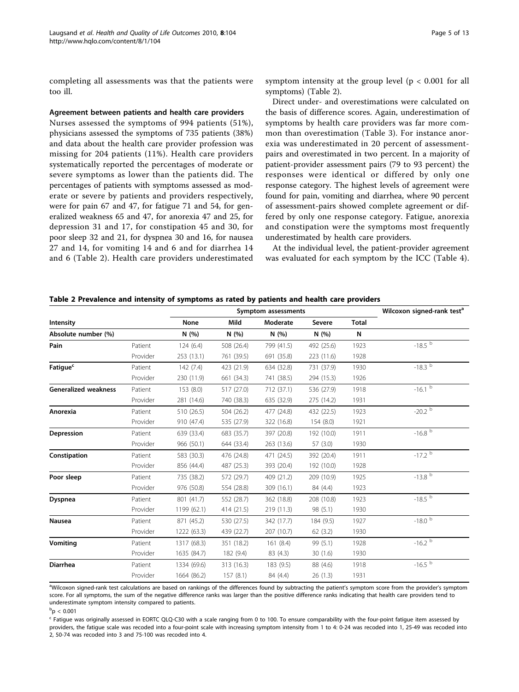completing all assessments was that the patients were too ill.

#### Agreement between patients and health care providers

Nurses assessed the symptoms of 994 patients (51%), physicians assessed the symptoms of 735 patients (38%) and data about the health care provider profession was missing for 204 patients (11%). Health care providers systematically reported the percentages of moderate or severe symptoms as lower than the patients did. The percentages of patients with symptoms assessed as moderate or severe by patients and providers respectively, were for pain 67 and 47, for fatigue 71 and 54, for generalized weakness 65 and 47, for anorexia 47 and 25, for depression 31 and 17, for constipation 45 and 30, for poor sleep 32 and 21, for dyspnea 30 and 16, for nausea 27 and 14, for vomiting 14 and 6 and for diarrhea 14 and 6 (Table 2). Health care providers underestimated

symptom intensity at the group level ( $p < 0.001$  for all symptoms) (Table 2).

Direct under- and overestimations were calculated on the basis of difference scores. Again, underestimation of symptoms by health care providers was far more common than overestimation (Table [3\)](#page-5-0). For instance anorexia was underestimated in 20 percent of assessmentpairs and overestimated in two percent. In a majority of patient-provider assessment pairs (79 to 93 percent) the responses were identical or differed by only one response category. The highest levels of agreement were found for pain, vomiting and diarrhea, where 90 percent of assessment-pairs showed complete agreement or differed by only one response category. Fatigue, anorexia and constipation were the symptoms most frequently underestimated by health care providers.

At the individual level, the patient-provider agreement was evaluated for each symptom by the ICC (Table [4](#page-5-0)).

|  |  | Table 2 Prevalence and intensity of symptoms as rated by patients and health care providers |
|--|--|---------------------------------------------------------------------------------------------|
|--|--|---------------------------------------------------------------------------------------------|

|                             |          |             | Symptom assessments | Wilcoxon signed-rank test <sup>a</sup> |               |              |           |
|-----------------------------|----------|-------------|---------------------|----------------------------------------|---------------|--------------|-----------|
| <b>Intensity</b>            |          | None        | Mild                | Moderate                               | <b>Severe</b> | <b>Total</b> |           |
| Absolute number (%)         |          | N(%)        | N(%)                | N(%)                                   | N(%)          | N            |           |
| Pain                        | Patient  | 124(6.4)    | 508 (26.4)          | 799 (41.5)                             | 492 (25.6)    | 1923         | $-18.5$ b |
|                             | Provider | 253(13.1)   | 761 (39.5)          | 691 (35.8)                             | 223 (11.6)    | 1928         |           |
| Fatigue <sup>c</sup>        | Patient  | 142(7.4)    | 423 (21.9)          | 634 (32.8)                             | 731 (37.9)    | 1930         | $-18.3$ b |
|                             | Provider | 230 (11.9)  | 661 (34.3)          | 741 (38.5)                             | 294 (15.3)    | 1926         |           |
| <b>Generalized weakness</b> | Patient  | 153 (8.0)   | 517 (27.0)          | 712 (37.1)                             | 536 (27.9)    | 1918         | $-16.1b$  |
|                             | Provider | 281 (14.6)  | 740 (38.3)          | 635 (32.9)                             | 275 (14.2)    | 1931         |           |
| Anorexia                    | Patient  | 510 (26.5)  | 504 (26.2)          | 477 (24.8)                             | 432 (22.5)    | 1923         | $-20.2b$  |
|                             | Provider | 910 (47.4)  | 535 (27.9)          | 322 (16.8)                             | 154(8.0)      | 1921         |           |
| Depression                  | Patient  | 639 (33.4)  | 683 (35.7)          | 397 (20.8)                             | 192 (10.0)    | 1911         | $-16.8$ b |
|                             | Provider | 966 (50.1)  | 644 (33.4)          | 263 (13.6)                             | 57(3.0)       | 1930         |           |
| Constipation                | Patient  | 583 (30.3)  | 476 (24.8)          | 471 (24.5)                             | 392 (20.4)    | 1911         | $-17.2b$  |
|                             | Provider | 856 (44.4)  | 487 (25.3)          | 393 (20.4)                             | 192 (10.0)    | 1928         |           |
| Poor sleep                  | Patient  | 735 (38.2)  | 572 (29.7)          | 409 (21.2)                             | 209 (10.9)    | 1925         | $-13.8$ b |
|                             | Provider | 976 (50.8)  | 554 (28.8)          | 309(16.1)                              | 84 (4.4)      | 1923         |           |
| <b>Dyspnea</b>              | Patient  | 801 (41.7)  | 552 (28.7)          | 362 (18.8)                             | 208 (10.8)    | 1923         | $-18.5$ b |
|                             | Provider | 1199 (62.1) | 414(21.5)           | 219(11.3)                              | 98(5.1)       | 1930         |           |
| Nausea                      | Patient  | 871 (45.2)  | 530 (27.5)          | 342 (17.7)                             | 184 (9.5)     | 1927         | $-18.0Pb$ |
|                             | Provider | 1222 (63.3) | 439 (22.7)          | 207 (10.7)                             | 62(3.2)       | 1930         |           |
| Vomiting                    | Patient  | 1317 (68.3) | 351 (18.2)          | 161(8.4)                               | 99 (5.1)      | 1928         | $-16.2$ b |
|                             | Provider | 1635 (84.7) | 182 (9.4)           | 83 (4.3)                               | 30(1.6)       | 1930         |           |
| <b>Diarrhea</b>             | Patient  | 1334 (69.6) | 313 (16.3)          | 183 (9.5)                              | 88 (4.6)      | 1918         | $-16.5$ b |
|                             | Provider | 1664 (86.2) | 157(8.1)            | 84 (4.4)                               | 26(1.3)       | 1931         |           |

a<br>Wilcoxon signed-rank test calculations are based on rankings of the differences found by subtracting the patient's symptom score from the provider's symptom score. For all symptoms, the sum of the negative difference ranks was larger than the positive difference ranks indicating that health care providers tend to underestimate symptom intensity compared to patients.

 $\rm ^{b}p < 0.001$ 

<sup>c</sup> Fatigue was originally assessed in EORTC QLQ-C30 with a scale ranging from 0 to 100. To ensure comparability with the four-point fatigue item assessed by providers, the fatigue scale was recoded into a four-point scale with increasing symptom intensity from 1 to 4: 0-24 was recoded into 1, 25-49 was recoded into 2, 50-74 was recoded into 3 and 75-100 was recoded into 4.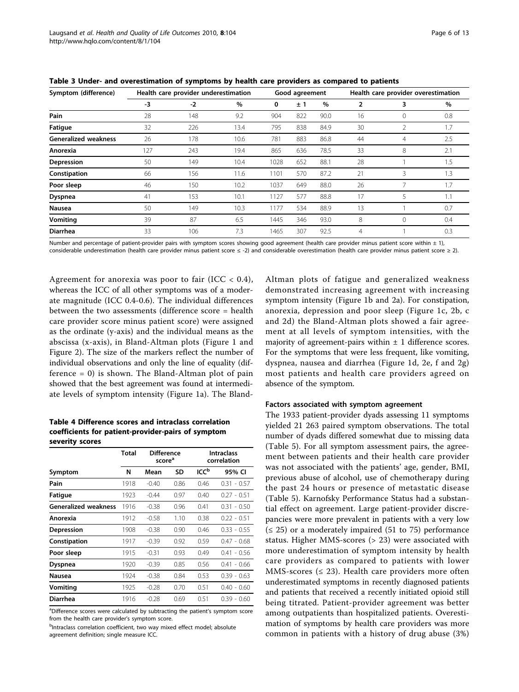| Symptom (difference)        | Health care provider underestimation |      |      | Good agreement |     |      | Health care provider overestimation |                |      |
|-----------------------------|--------------------------------------|------|------|----------------|-----|------|-------------------------------------|----------------|------|
|                             | -3                                   | $-2$ | %    | 0              | ±1  | $\%$ | 2                                   | 3              | $\%$ |
| Pain                        | 28                                   | 148  | 9.2  | 904            | 822 | 90.0 | 16                                  | 0              | 0.8  |
| Fatigue                     | 32                                   | 226  | 13.4 | 795            | 838 | 84.9 | 30                                  |                | 1.7  |
| <b>Generalized weakness</b> | 26                                   | 178  | 10.6 | 781            | 883 | 86.8 | 44                                  | 4              | 2.5  |
| Anorexia                    | 127                                  | 243  | 19.4 | 865            | 636 | 78.5 | 33                                  | 8              | 2.1  |
| Depression                  | 50                                   | 149  | 10.4 | 1028           | 652 | 88.1 | 28                                  |                | 1.5  |
| Constipation                | 66                                   | 156  | 11.6 | 1101           | 570 | 87.2 | 21                                  | 3              | 1.3  |
| Poor sleep                  | 46                                   | 150  | 10.2 | 1037           | 649 | 88.0 | 26                                  | $\overline{7}$ | 1.7  |
| <b>Dyspnea</b>              | 41                                   | 153  | 10.1 | 1127           | 577 | 88.8 | 17                                  | 5              | 1.1  |
| <b>Nausea</b>               | 50                                   | 149  | 10.3 | 1177           | 534 | 88.9 | 13                                  |                | 0.7  |
| <b>Vomiting</b>             | 39                                   | 87   | 6.5  | 1445           | 346 | 93.0 | 8                                   | $\Omega$       | 0.4  |
| <b>Diarrhea</b>             | 33                                   | 106  | 7.3  | 1465           | 307 | 92.5 | 4                                   |                | 0.3  |

<span id="page-5-0"></span>Table 3 Under- and overestimation of symptoms by health care providers as compared to patients

Number and percentage of patient-provider pairs with symptom scores showing good agreement (health care provider minus patient score within ± 1), considerable underestimation (health care provider minus patient score ≤ -2) and considerable overestimation (health care provider minus patient score ≥ 2).

Agreement for anorexia was poor to fair (ICC < 0.4), whereas the ICC of all other symptoms was of a moderate magnitude (ICC 0.4-0.6). The individual differences between the two assessments (difference score = health care provider score minus patient score) were assigned as the ordinate (y-axis) and the individual means as the abscissa (x-axis), in Bland-Altman plots (Figure [1](#page-6-0) and Figure [2\)](#page-7-0). The size of the markers reflect the number of individual observations and only the line of equality (difference = 0) is shown. The Bland-Altman plot of pain showed that the best agreement was found at intermediate levels of symptom intensity (Figure [1a](#page-6-0)). The Bland-

Table 4 Difference scores and intraclass correlation coefficients for patient-provider-pairs of symptom severity scores

|                             | Total | <b>Difference</b><br>score <sup>a</sup> |      |                  | <b>Intraclass</b><br>correlation |
|-----------------------------|-------|-----------------------------------------|------|------------------|----------------------------------|
| Symptom                     | N     | Mean                                    | SD   | ICC <sub>b</sub> | 95% CI                           |
| Pain                        | 1918  | $-0.40$                                 | 0.86 | 0.46             | $0.31 - 0.57$                    |
| Fatigue                     | 1923  | $-0.44$                                 | 0.97 | 0.40             | $0.27 - 0.51$                    |
| <b>Generalized weakness</b> | 1916  | $-0.38$                                 | 0.96 | 0.41             | $0.31 - 0.50$                    |
| Anorexia                    | 1912  | $-0.58$                                 | 1.10 | 0.38             | $0.22 - 0.51$                    |
| Depression                  | 1908  | $-0.38$                                 | 0.90 | 0.46             | $0.33 - 0.55$                    |
| Constipation                | 1917  | $-0.39$                                 | 0.92 | 0.59             | $0.47 - 0.68$                    |
| Poor sleep                  | 1915  | $-0.31$                                 | 0.93 | 0.49             | $0.41 - 0.56$                    |
| Dyspnea                     | 1920  | $-0.39$                                 | 0.85 | 0.56             | $0.41 - 0.66$                    |
| <b>Nausea</b>               | 1924  | $-0.38$                                 | 0.84 | 0.53             | $0.39 - 0.63$                    |
| Vomiting                    | 1925  | $-0.28$                                 | 0.70 | 0.51             | $0.40 - 0.60$                    |
| <b>Diarrhea</b>             | 1916  | $-0.28$                                 | 0.69 | 0.51             | $0.39 - 0.60$                    |

<sup>a</sup>Difference scores were calculated by subtracting the patient's symptom score from the health care provider's symptom score.

<sup>b</sup>Intraclass correlation coefficient, two way mixed effect model; absolute agreement definition; single measure ICC.

Altman plots of fatigue and generalized weakness demonstrated increasing agreement with increasing symptom intensity (Figure [1b](#page-6-0) and [2a](#page-7-0)). For constipation, anorexia, depression and poor sleep (Figure [1c](#page-6-0), [2b, c](#page-7-0) and [2d\)](#page-7-0) the Bland-Altman plots showed a fair agreement at all levels of symptom intensities, with the majority of agreement-pairs within  $\pm$  1 difference scores. For the symptoms that were less frequent, like vomiting, dyspnea, nausea and diarrhea (Figure [1d,](#page-6-0) [2e, f](#page-7-0) and [2g](#page-7-0)) most patients and health care providers agreed on absence of the symptom.

#### Factors associated with symptom agreement

The 1933 patient-provider dyads assessing 11 symptoms yielded 21 263 paired symptom observations. The total number of dyads differed somewhat due to missing data (Table [5\)](#page-8-0). For all symptom assessment pairs, the agreement between patients and their health care provider was not associated with the patients' age, gender, BMI, previous abuse of alcohol, use of chemotherapy during the past 24 hours or presence of metastatic disease (Table [5](#page-8-0)). Karnofsky Performance Status had a substantial effect on agreement. Large patient-provider discrepancies were more prevalent in patients with a very low  $(≤ 25)$  or a moderately impaired (51 to 75) performance status. Higher MMS-scores (> 23) were associated with more underestimation of symptom intensity by health care providers as compared to patients with lower MMS-scores  $(≤ 23)$ . Health care providers more often underestimated symptoms in recently diagnosed patients and patients that received a recently initiated opioid still being titrated. Patient-provider agreement was better among outpatients than hospitalized patients. Overestimation of symptoms by health care providers was more common in patients with a history of drug abuse (3%)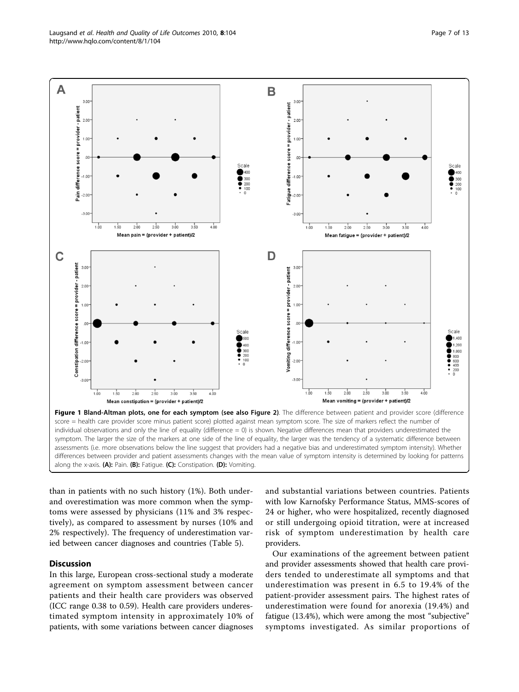<span id="page-6-0"></span>

than in patients with no such history (1%). Both underand overestimation was more common when the symptoms were assessed by physicians (11% and 3% respectively), as compared to assessment by nurses (10% and 2% respectively). The frequency of underestimation varied between cancer diagnoses and countries (Table [5](#page-8-0)).

# **Discussion**

In this large, European cross-sectional study a moderate agreement on symptom assessment between cancer patients and their health care providers was observed (ICC range 0.38 to 0.59). Health care providers underestimated symptom intensity in approximately 10% of patients, with some variations between cancer diagnoses

and substantial variations between countries. Patients with low Karnofsky Performance Status, MMS-scores of 24 or higher, who were hospitalized, recently diagnosed or still undergoing opioid titration, were at increased risk of symptom underestimation by health care providers.

Our examinations of the agreement between patient and provider assessments showed that health care providers tended to underestimate all symptoms and that underestimation was present in 6.5 to 19.4% of the patient-provider assessment pairs. The highest rates of underestimation were found for anorexia (19.4%) and fatigue (13.4%), which were among the most "subjective" symptoms investigated. As similar proportions of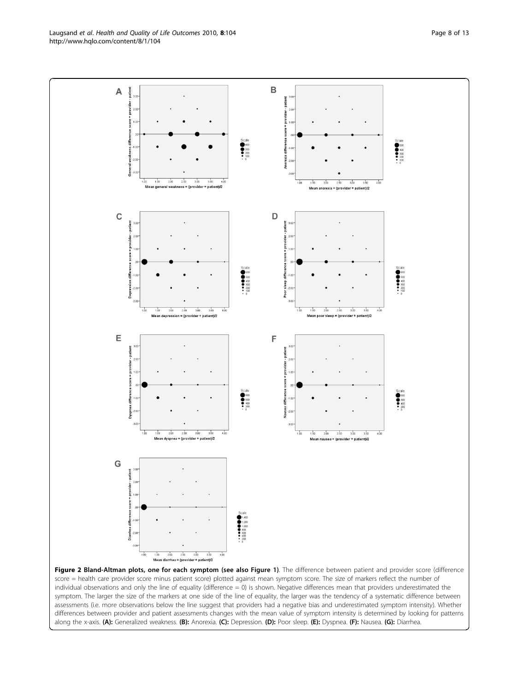<span id="page-7-0"></span>Laugsand et al. Health and Quality of Life Outcomes 2010, 8:104 http://www.hqlo.com/content/8/1/104



symptom. The larger the size of the markers at one side of the line of equality, the larger was the tendency of a systematic difference between assessments (i.e. more observations below the line suggest that providers had a negative bias and underestimated symptom intensity). Whether differences between provider and patient assessments changes with the mean value of symptom intensity is determined by looking for patterns along the x-axis. (A): Generalized weakness. (B): Anorexia. (C): Depression. (D): Poor sleep. (E): Dyspnea. (F): Nausea. (G): Diarrhea.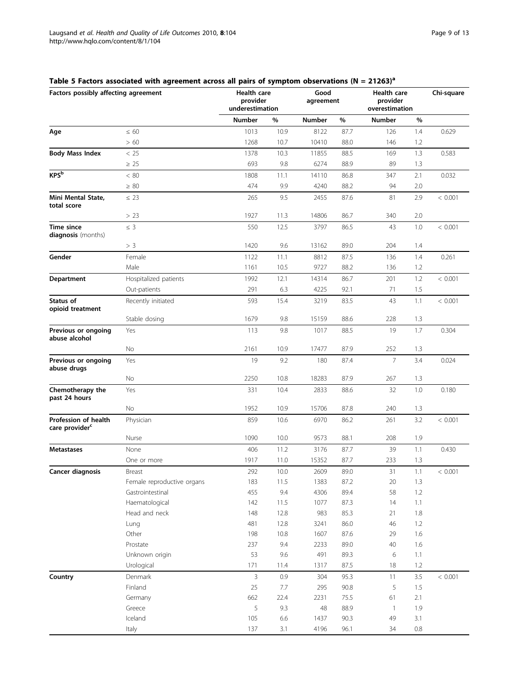# <span id="page-8-0"></span>Table 5 Factors associated with agreement across all pairs of symptom observations (N = 21263)<sup>a</sup>

| Factors possibly affecting agreement               |                            | <b>Health care</b><br>provider<br>underestimation |      | Good<br>agreement |      | Health care<br>provider<br>overestimation |         | Chi-square |  |
|----------------------------------------------------|----------------------------|---------------------------------------------------|------|-------------------|------|-------------------------------------------|---------|------------|--|
|                                                    |                            | Number                                            | $\%$ | Number            | $\%$ | Number                                    | $\%$    |            |  |
| Age                                                | $\leq 60$                  | 1013                                              | 10.9 | 8122              | 87.7 | 126                                       | 1.4     | 0.629      |  |
|                                                    | > 60                       | 1268                                              | 10.7 | 10410             | 88.0 | 146                                       | 1.2     |            |  |
| <b>Body Mass Index</b>                             | < 25                       | 1378                                              | 10.3 | 11855             | 88.5 | 169                                       | 1.3     | 0.583      |  |
|                                                    | $\geq 25$                  | 693                                               | 9.8  | 6274              | 88.9 | 89                                        | 1.3     |            |  |
| <b>KPS</b> b                                       | $<\,80$                    | 1808                                              | 11.1 | 14110             | 86.8 | 347                                       | 2.1     | 0.032      |  |
|                                                    | $\geq 80$                  | 474                                               | 9.9  | 4240              | 88.2 | 94                                        | 2.0     |            |  |
| Mini Mental State,<br>total score                  | $\leq$ 23                  | 265                                               | 9.5  | 2455              | 87.6 | 81                                        | 2.9     | < 0.001    |  |
|                                                    | > 23                       | 1927                                              | 11.3 | 14806             | 86.7 | 340                                       | 2.0     |            |  |
| <b>Time since</b><br><b>diagnosis</b> (months)     | $\leq$ 3                   | 550                                               | 12.5 | 3797              | 86.5 | 43                                        | 1.0     | < 0.001    |  |
|                                                    | > 3                        | 1420                                              | 9.6  | 13162             | 89.0 | 204                                       | 1.4     |            |  |
| Gender                                             | Female                     | 1122                                              | 11.1 | 8812              | 87.5 | 136                                       | 1.4     | 0.261      |  |
|                                                    | Male                       | 1161                                              | 10.5 | 9727              | 88.2 | 136                                       | 1.2     |            |  |
| <b>Department</b>                                  | Hospitalized patients      | 1992                                              | 12.1 | 14314             | 86.7 | 201                                       | 1.2     | < 0.001    |  |
|                                                    | Out-patients               | 291                                               | 6.3  | 4225              | 92.1 | 71                                        | 1.5     |            |  |
| Status of<br>opioid treatment                      | Recently initiated         | 593                                               | 15.4 | 3219              | 83.5 | 43                                        | 1.1     | < 0.001    |  |
|                                                    | Stable dosing              | 1679                                              | 9.8  | 15159             | 88.6 | 228                                       | 1.3     |            |  |
| Previous or ongoing<br>abuse alcohol               | Yes                        | 113                                               | 9.8  | 1017              | 88.5 | 19                                        | 1.7     | 0.304      |  |
|                                                    | No                         | 2161                                              | 10.9 | 17477             | 87.9 | 252                                       | 1.3     |            |  |
| Previous or ongoing<br>abuse drugs                 | Yes                        | 19                                                | 9.2  | 180               | 87.4 | $\overline{7}$                            | 3.4     | 0.024      |  |
|                                                    | No                         | 2250                                              | 10.8 | 18283             | 87.9 | 267                                       | 1.3     |            |  |
| Chemotherapy the<br>past 24 hours                  | Yes                        | 331                                               | 10.4 | 2833              | 88.6 | 32                                        | 1.0     | 0.180      |  |
|                                                    | No                         | 1952                                              | 10.9 | 15706             | 87.8 | 240                                       | 1.3     |            |  |
| Profession of health<br>care provider <sup>c</sup> | Physician                  | 859                                               | 10.6 | 6970              | 86.2 | 261                                       | 3.2     | < 0.001    |  |
|                                                    | Nurse                      | 1090                                              | 10.0 | 9573              | 88.1 | 208                                       | 1.9     |            |  |
| Metastases                                         | None                       | 406                                               | 11.2 | 3176              | 87.7 | 39                                        | 1.1     | 0.430      |  |
|                                                    | One or more                | 1917                                              | 11.0 | 15352             | 87.7 | 233                                       | 1.3     |            |  |
| Cancer diagnosis                                   | Breast                     | 292                                               | 10.0 | 2609              | 89.0 | 31                                        | 1.1     | < 0.001    |  |
|                                                    | Female reproductive organs | 183                                               | 11.5 | 1383              | 87.2 | 20                                        | 1.3     |            |  |
|                                                    | Gastrointestinal           | 455                                               | 9.4  | 4306              | 89.4 | 58                                        | 1.2     |            |  |
|                                                    | Haematological             | 142                                               | 11.5 | 1077              | 87.3 | 14                                        | 1.1     |            |  |
|                                                    | Head and neck              | 148                                               | 12.8 | 983               | 85.3 | 21                                        | 1.8     |            |  |
|                                                    | Lung                       | 481                                               | 12.8 | 3241              | 86.0 | 46                                        | 1.2     |            |  |
|                                                    | Other                      | 198                                               | 10.8 | 1607              | 87.6 | 29                                        | 1.6     |            |  |
|                                                    | Prostate                   | 237                                               | 9.4  | 2233              | 89.0 | 40                                        | 1.6     |            |  |
|                                                    | Unknown origin             | 53                                                | 9.6  | 491               | 89.3 | 6                                         | 1.1     |            |  |
|                                                    | Urological                 | 171                                               | 11.4 | 1317              | 87.5 | 18                                        | 1.2     |            |  |
| Country                                            | Denmark                    | $\mathbf{3}$                                      | 0.9  | 304               | 95.3 | 11                                        | 3.5     | < 0.001    |  |
|                                                    | Finland                    | 25                                                | 7.7  | 295               | 90.8 | 5                                         | 1.5     |            |  |
|                                                    | Germany                    | 662                                               | 22.4 | 2231              | 75.5 | 61                                        | 2.1     |            |  |
|                                                    | Greece                     | 5                                                 | 9.3  | 48                | 88.9 | $\mathbf{1}$                              | 1.9     |            |  |
|                                                    | Iceland                    | 105                                               | 6.6  | 1437              | 90.3 | 49                                        | 3.1     |            |  |
|                                                    | Italy                      | 137                                               | 3.1  | 4196              | 96.1 | 34                                        | $0.8\,$ |            |  |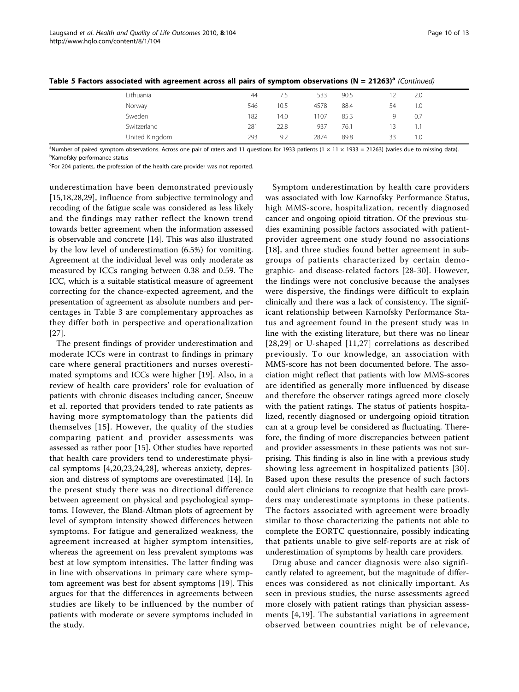| Lithuania      | 44  | 7.5  | 533  | 90.5 | 2.0         |  |
|----------------|-----|------|------|------|-------------|--|
| <b>Norway</b>  | 546 | 10.5 | 4578 | 88.4 | 54<br>1.0   |  |
| Sweden         | 182 | 14.0 | 1107 | 85.3 | 0.7         |  |
| Switzerland    | 281 | 22.8 | 937  | 76.1 | 1.1         |  |
| United Kingdom | 293 | 9.2  | 2874 | 89.8 | 1.0<br>-2-2 |  |

Table 5 Factors associated with agreement across all pairs of symptom observations (N = 21263)<sup>a</sup> (Continued)

a Number of paired symptom observations. Across one pair of raters and 11 questions for 1933 patients (1 × 11 × 1933 = 21263) (varies due to missing data). <sup>b</sup>Karnofsky performance status

For 204 patients, the profession of the health care provider was not reported.

underestimation have been demonstrated previously [[15,18,](#page-11-0)[28,29\]](#page-12-0), influence from subjective terminology and recoding of the fatigue scale was considered as less likely and the findings may rather reflect the known trend towards better agreement when the information assessed is observable and concrete [\[14](#page-11-0)]. This was also illustrated by the low level of underestimation (6.5%) for vomiting. Agreement at the individual level was only moderate as measured by ICCs ranging between 0.38 and 0.59. The ICC, which is a suitable statistical measure of agreement correcting for the chance-expected agreement, and the presentation of agreement as absolute numbers and percentages in Table [3](#page-5-0) are complementary approaches as they differ both in perspective and operationalization [[27\]](#page-12-0).

The present findings of provider underestimation and moderate ICCs were in contrast to findings in primary care where general practitioners and nurses overestimated symptoms and ICCs were higher [\[19](#page-11-0)]. Also, in a review of health care providers' role for evaluation of patients with chronic diseases including cancer, Sneeuw et al. reported that providers tended to rate patients as having more symptomatology than the patients did themselves [[15\]](#page-11-0). However, the quality of the studies comparing patient and provider assessments was assessed as rather poor [\[15](#page-11-0)]. Other studies have reported that health care providers tend to underestimate physical symptoms [[4,20](#page-11-0),[23,24](#page-12-0),[28\]](#page-12-0), whereas anxiety, depression and distress of symptoms are overestimated [[14](#page-11-0)]. In the present study there was no directional difference between agreement on physical and psychological symptoms. However, the Bland-Altman plots of agreement by level of symptom intensity showed differences between symptoms. For fatigue and generalized weakness, the agreement increased at higher symptom intensities, whereas the agreement on less prevalent symptoms was best at low symptom intensities. The latter finding was in line with observations in primary care where symptom agreement was best for absent symptoms [[19\]](#page-11-0). This argues for that the differences in agreements between studies are likely to be influenced by the number of patients with moderate or severe symptoms included in the study.

Symptom underestimation by health care providers was associated with low Karnofsky Performance Status, high MMS-score, hospitalization, recently diagnosed cancer and ongoing opioid titration. Of the previous studies examining possible factors associated with patientprovider agreement one study found no associations [[18](#page-11-0)], and three studies found better agreement in subgroups of patients characterized by certain demographic- and disease-related factors [[28](#page-12-0)-[30](#page-12-0)]. However, the findings were not conclusive because the analyses were dispersive, the findings were difficult to explain clinically and there was a lack of consistency. The significant relationship between Karnofsky Performance Status and agreement found in the present study was in line with the existing literature, but there was no linear [[28,29](#page-12-0)] or U-shaped [[11](#page-11-0),[27\]](#page-12-0) correlations as described previously. To our knowledge, an association with MMS-score has not been documented before. The association might reflect that patients with low MMS-scores are identified as generally more influenced by disease and therefore the observer ratings agreed more closely with the patient ratings. The status of patients hospitalized, recently diagnosed or undergoing opioid titration can at a group level be considered as fluctuating. Therefore, the finding of more discrepancies between patient and provider assessments in these patients was not surprising. This finding is also in line with a previous study showing less agreement in hospitalized patients [[30\]](#page-12-0). Based upon these results the presence of such factors could alert clinicians to recognize that health care providers may underestimate symptoms in these patients. The factors associated with agreement were broadly similar to those characterizing the patients not able to complete the EORTC questionnaire, possibly indicating that patients unable to give self-reports are at risk of underestimation of symptoms by health care providers.

Drug abuse and cancer diagnosis were also significantly related to agreement, but the magnitude of differences was considered as not clinically important. As seen in previous studies, the nurse assessments agreed more closely with patient ratings than physician assessments [[4](#page-11-0),[19\]](#page-11-0). The substantial variations in agreement observed between countries might be of relevance,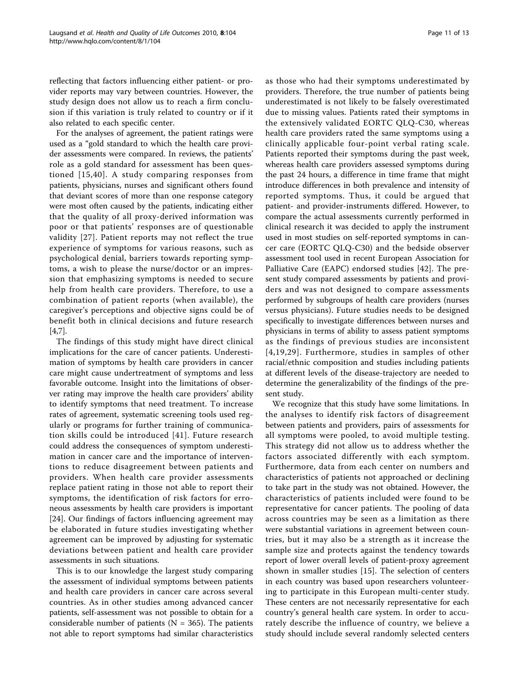reflecting that factors influencing either patient- or provider reports may vary between countries. However, the study design does not allow us to reach a firm conclusion if this variation is truly related to country or if it also related to each specific center.

For the analyses of agreement, the patient ratings were used as a "gold standard to which the health care provider assessments were compared. In reviews, the patients' role as a gold standard for assessment has been questioned [[15](#page-11-0),[40\]](#page-12-0). A study comparing responses from patients, physicians, nurses and significant others found that deviant scores of more than one response category were most often caused by the patients, indicating either that the quality of all proxy-derived information was poor or that patients' responses are of questionable validity [[27](#page-12-0)]. Patient reports may not reflect the true experience of symptoms for various reasons, such as psychological denial, barriers towards reporting symptoms, a wish to please the nurse/doctor or an impression that emphasizing symptoms is needed to secure help from health care providers. Therefore, to use a combination of patient reports (when available), the caregiver's perceptions and objective signs could be of benefit both in clinical decisions and future research [[4,7\]](#page-11-0).

The findings of this study might have direct clinical implications for the care of cancer patients. Underestimation of symptoms by health care providers in cancer care might cause undertreatment of symptoms and less favorable outcome. Insight into the limitations of observer rating may improve the health care providers' ability to identify symptoms that need treatment. To increase rates of agreement, systematic screening tools used regularly or programs for further training of communication skills could be introduced [[41\]](#page-12-0). Future research could address the consequences of symptom underestimation in cancer care and the importance of interventions to reduce disagreement between patients and providers. When health care provider assessments replace patient rating in those not able to report their symptoms, the identification of risk factors for erroneous assessments by health care providers is important [[24\]](#page-12-0). Our findings of factors influencing agreement may be elaborated in future studies investigating whether agreement can be improved by adjusting for systematic deviations between patient and health care provider assessments in such situations.

This is to our knowledge the largest study comparing the assessment of individual symptoms between patients and health care providers in cancer care across several countries. As in other studies among advanced cancer patients, self-assessment was not possible to obtain for a considerable number of patients ( $N = 365$ ). The patients not able to report symptoms had similar characteristics as those who had their symptoms underestimated by providers. Therefore, the true number of patients being underestimated is not likely to be falsely overestimated due to missing values. Patients rated their symptoms in the extensively validated EORTC QLQ-C30, whereas health care providers rated the same symptoms using a clinically applicable four-point verbal rating scale. Patients reported their symptoms during the past week, whereas health care providers assessed symptoms during the past 24 hours, a difference in time frame that might introduce differences in both prevalence and intensity of reported symptoms. Thus, it could be argued that patient- and provider-instruments differed. However, to compare the actual assessments currently performed in clinical research it was decided to apply the instrument used in most studies on self-reported symptoms in cancer care (EORTC QLQ-C30) and the bedside observer assessment tool used in recent European Association for Palliative Care (EAPC) endorsed studies [[42](#page-12-0)]. The present study compared assessments by patients and providers and was not designed to compare assessments performed by subgroups of health care providers (nurses versus physicians). Future studies needs to be designed specifically to investigate differences between nurses and physicians in terms of ability to assess patient symptoms as the findings of previous studies are inconsistent [[4,19](#page-11-0),[29](#page-12-0)]. Furthermore, studies in samples of other racial/ethnic composition and studies including patients at different levels of the disease-trajectory are needed to determine the generalizability of the findings of the present study.

We recognize that this study have some limitations. In the analyses to identify risk factors of disagreement between patients and providers, pairs of assessments for all symptoms were pooled, to avoid multiple testing. This strategy did not allow us to address whether the factors associated differently with each symptom. Furthermore, data from each center on numbers and characteristics of patients not approached or declining to take part in the study was not obtained. However, the characteristics of patients included were found to be representative for cancer patients. The pooling of data across countries may be seen as a limitation as there were substantial variations in agreement between countries, but it may also be a strength as it increase the sample size and protects against the tendency towards report of lower overall levels of patient-proxy agreement shown in smaller studies [[15](#page-11-0)]. The selection of centers in each country was based upon researchers volunteering to participate in this European multi-center study. These centers are not necessarily representative for each country's general health care system. In order to accurately describe the influence of country, we believe a study should include several randomly selected centers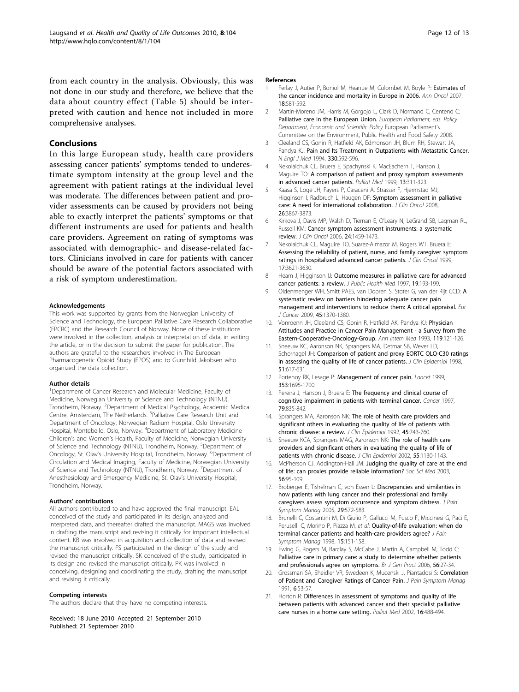<span id="page-11-0"></span>from each country in the analysis. Obviously, this was not done in our study and therefore, we believe that the data about country effect (Table [5](#page-8-0)) should be interpreted with caution and hence not included in more comprehensive analyses.

# Conclusions

In this large European study, health care providers assessing cancer patients' symptoms tended to underestimate symptom intensity at the group level and the agreement with patient ratings at the individual level was moderate. The differences between patient and provider assessments can be caused by providers not being able to exactly interpret the patients' symptoms or that different instruments are used for patients and health care providers. Agreement on rating of symptoms was associated with demographic- and disease-related factors. Clinicians involved in care for patients with cancer should be aware of the potential factors associated with a risk of symptom underestimation.

#### Acknowledgements

This work was supported by grants from the Norwegian University of Science and Technology, the European Palliative Care Research Collaborative (EPCRC) and the Research Council of Norway. None of these institutions were involved in the collection, analysis or interpretation of data, in writing the article, or in the decision to submit the paper for publication. The authors are grateful to the researchers involved in The European Pharmacogenetic Opioid Study (EPOS) and to Gunnhild Jakobsen who organized the data collection.

#### Author details

<sup>1</sup>Department of Cancer Research and Molecular Medicine, Faculty of Medicine, Norwegian University of Science and Technology (NTNU), Trondheim, Norway. <sup>2</sup>Department of Medical Psychology, Academic Medical Centre, Amsterdam, The Netherlands. <sup>3</sup>Palliative Care Research Unit and Department of Oncology, Norwegian Radium Hospital, Oslo University Hospital, Montebello, Oslo, Norway. <sup>4</sup>Department of Laboratory Medicine Children's and Women's Health, Faculty of Medicine, Norwegian University of Science and Technology (NTNU), Trondheim, Norway. <sup>5</sup>Department of Oncology, St. Olav's University Hospital, Trondheim, Norway. <sup>6</sup>Department of Circulation and Medical Imaging, Faculty of Medicine, Norwegian University of Science and Technology (NTNU), Trondheim, Norway. <sup>7</sup>Department of Anesthesiology and Emergency Medicine, St. Olav's University Hospital, Trondheim, Norway.

#### Authors' contributions

All authors contributed to and have approved the final manuscript. EAL conceived of the study and participated in its design, analyzed and interpreted data, and thereafter drafted the manuscript. MAGS was involved in drafting the manuscript and revising it critically for important intellectual content. KB was involved in acquisition and collection of data and revised the manuscript critically. FS participated in the design of the study and revised the manuscript critically. SK conceived of the study, participated in its design and revised the manuscript critically. PK was involved in conceiving, designing and coordinating the study, drafting the manuscript and revising it critically.

#### Competing interests

The authors declare that they have no competing interests.

Received: 18 June 2010 Accepted: 21 September 2010 Published: 21 September 2010

#### References

- 1. Ferlay J, Autier P, Boniol M, Heanue M, Colombet M, Boyle P: [Estimates of](http://www.ncbi.nlm.nih.gov/pubmed/17287242?dopt=Abstract) [the cancer incidence and mortality in Europe in 2006.](http://www.ncbi.nlm.nih.gov/pubmed/17287242?dopt=Abstract) Ann Oncol 2007, 18:581-592.
- 2. Martin-Moreno JM, Harris M, Gorgojo L, Clark D, Normand C, Centeno C: Palliative care in the European Union. European Parliament, eds. Policy Department, Economic and Scientific Policy European Parliament's Committee on the Environment, Public Health and Food Safety 2008.
- 3. Cleeland CS, Gonin R, Hatfield AK, Edmonson JH, Blum RH, Stewart JA, Pandya KJ: [Pain and Its Treatment in Outpatients with Metastatic Cancer.](http://www.ncbi.nlm.nih.gov/pubmed/7508092?dopt=Abstract) N Engl J Med 1994, 330:592-596.
- 4. Nekolaichuk CL, Bruera E, Spachynski K, MacEachern T, Hanson J, Maguire TO: [A comparison of patient and proxy symptom assessments](http://www.ncbi.nlm.nih.gov/pubmed/10659100?dopt=Abstract) [in advanced cancer patients.](http://www.ncbi.nlm.nih.gov/pubmed/10659100?dopt=Abstract) Palliat Med 1999, 13:311-323.
- 5. Kaasa S, Loge JH, Fayers P, Caraceni A, Strasser F, Hjermstad MJ, Higginson I, Radbruch L, Haugen DF: [Symptom assessment in palliative](http://www.ncbi.nlm.nih.gov/pubmed/18688054?dopt=Abstract) [care: A need for international collaboration.](http://www.ncbi.nlm.nih.gov/pubmed/18688054?dopt=Abstract) J Clin Oncol 2008, 26:3867-3873.
- 6. Kirkova J, Davis MP, Walsh D, Tiernan E, O'Leary N, LeGrand SB, Lagman RL, Russell KM: [Cancer symptom assessment instruments: a systematic](http://www.ncbi.nlm.nih.gov/pubmed/16549841?dopt=Abstract) [review.](http://www.ncbi.nlm.nih.gov/pubmed/16549841?dopt=Abstract) J Clin Oncol 2006, 24:1459-1473.
- 7. Nekolaichuk CL, Maguire TO, Suarez-Almazor M, Rogers WT, Bruera E: [Assessing the reliability of patient, nurse, and family caregiver symptom](http://www.ncbi.nlm.nih.gov/pubmed/10550162?dopt=Abstract) [ratings in hospitalized advanced cancer patients.](http://www.ncbi.nlm.nih.gov/pubmed/10550162?dopt=Abstract) J Clin Oncol 1999, 17:3621-3630.
- 8. Hearn J, Higginson IJ: [Outcome measures in palliative care for advanced](http://www.ncbi.nlm.nih.gov/pubmed/9243435?dopt=Abstract) [cancer patients: a review.](http://www.ncbi.nlm.nih.gov/pubmed/9243435?dopt=Abstract) J Public Health Med 1997, 19:193-199.
- 9. Oldenmenger WH, Smitt PAES, van Dooren S, Stoter G, van der Rijt CCD: [A](http://www.ncbi.nlm.nih.gov/pubmed/19201599?dopt=Abstract) [systematic review on barriers hindering adequate cancer pain](http://www.ncbi.nlm.nih.gov/pubmed/19201599?dopt=Abstract) [management and interventions to reduce them: A critical appraisal.](http://www.ncbi.nlm.nih.gov/pubmed/19201599?dopt=Abstract) Eur J Cancer 2009, 45:1370-1380.
- 10. Vonroenn JH, Cleeland CS, Gonin R, Hatfield AK, Pandya KJ: [Physician](http://www.ncbi.nlm.nih.gov/pubmed/8099769?dopt=Abstract) [Attitudes and Practice in Cancer Pain Management - a Survey from the](http://www.ncbi.nlm.nih.gov/pubmed/8099769?dopt=Abstract) [Eastern-Cooperative-Oncology-Group.](http://www.ncbi.nlm.nih.gov/pubmed/8099769?dopt=Abstract) Ann Intern Med 1993, 119:121-126.
- 11. Sneeuw KC, Aaronson NK, Sprangers MA, Detmar SB, Wever LD, Schornagel JH: [Comparison of patient and proxy EORTC QLQ-C30 ratings](http://www.ncbi.nlm.nih.gov/pubmed/9674669?dopt=Abstract) [in assessing the quality of life of cancer patients.](http://www.ncbi.nlm.nih.gov/pubmed/9674669?dopt=Abstract) J Clin Epidemiol 1998, 51:617-631.
- 12. Portenoy RK, Lesage P: [Management of cancer pain.](http://www.ncbi.nlm.nih.gov/pubmed/10335806?dopt=Abstract) Lancet 1999, 353:1695-1700.
- 13. Pereira J, Hanson J, Bruera E: [The frequency and clinical course of](http://www.ncbi.nlm.nih.gov/pubmed/9024722?dopt=Abstract) [cognitive impairment in patients with terminal cancer.](http://www.ncbi.nlm.nih.gov/pubmed/9024722?dopt=Abstract) Cancer 1997, 79:835-842.
- 14. Sprangers MA, Aaronson NK: [The role of health care providers and](http://www.ncbi.nlm.nih.gov/pubmed/1619454?dopt=Abstract) [significant others in evaluating the quality of life of patients with](http://www.ncbi.nlm.nih.gov/pubmed/1619454?dopt=Abstract) [chronic disease: a review.](http://www.ncbi.nlm.nih.gov/pubmed/1619454?dopt=Abstract) J Clin Epidemiol 1992, 45:743-760.
- 15. Sneeuw KCA, Sprangers MAG, Aaronson NK: [The role of health care](http://www.ncbi.nlm.nih.gov/pubmed/12507678?dopt=Abstract) [providers and significant others in evaluating the quality of life of](http://www.ncbi.nlm.nih.gov/pubmed/12507678?dopt=Abstract) [patients with chronic disease.](http://www.ncbi.nlm.nih.gov/pubmed/12507678?dopt=Abstract) J Clin Epidemiol 2002, 55:1130-1143.
- 16. McPherson CJ, Addington-Hall JM: [Judging the quality of care at the end](http://www.ncbi.nlm.nih.gov/pubmed/12435554?dopt=Abstract) [of life: can proxies provide reliable information?](http://www.ncbi.nlm.nih.gov/pubmed/12435554?dopt=Abstract) Soc Sci Med 2003, 56:95-109.
- 17. Broberger E, Tishelman C, von Essen L: Discrepancies and similarities in how patients with lung cancer and their professional and family caregivers assess symptom occurrence and symptom distress. J Pain Symptom Manag 2005, 29:572-583.
- 18. Brunelli C, Costantini M, Di Giulio P, Gallucci M, Fusco F, Miccinesi G, Paci E, Peruselli C, Morino P, Piazza M, et al: Quality-of-life evaluation: when do terminal cancer patients and health-care providers agree? J Pain Symptom Manag 1998, 15:151-158.
- 19. Ewing G, Rogers M, Barclay S, McCabe J, Martin A, Campbell M, Todd C: [Palliative care in primary care: a study to determine whether patients](http://www.ncbi.nlm.nih.gov/pubmed/16438812?dopt=Abstract) [and professionals agree on symptoms.](http://www.ncbi.nlm.nih.gov/pubmed/16438812?dopt=Abstract) Br J Gen Pract 2006, 56:27-34.
- 20. Grossman SA, Sheidler VR, Swedeen K, Mucenski J, Piantadosi S: Correlation of Patient and Caregiver Ratings of Cancer Pain. J Pain Symptom Manag 1991, 6:53-57.
- 21. Horton R: [Differences in assessment of symptoms and quality of life](http://www.ncbi.nlm.nih.gov/pubmed/12465695?dopt=Abstract) [between patients with advanced cancer and their specialist palliative](http://www.ncbi.nlm.nih.gov/pubmed/12465695?dopt=Abstract) [care nurses in a home care setting.](http://www.ncbi.nlm.nih.gov/pubmed/12465695?dopt=Abstract) Palliat Med 2002, 16:488-494.